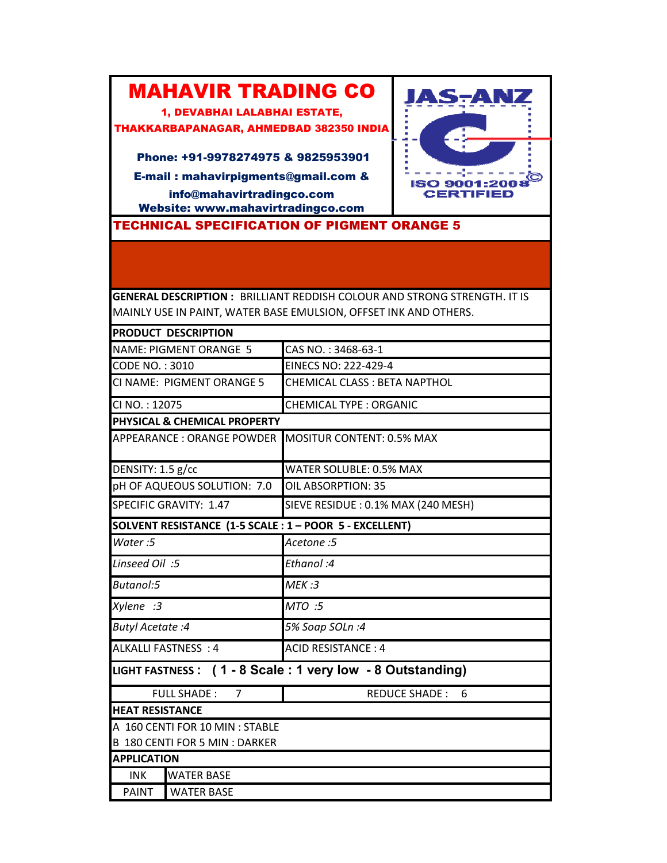## MAHAVIR TRADING CO

1, DEVABHAI LALABHAI ESTATE, THAKKARBAPANAGAR, AHMEDBAD 382350 INDIA

Phone: +91-9978274975 & 9825953901

E-mail : mahavirpigments@gmail.com & info@mahavirtradingco.com Website: www.mahavirtradingco.com

**JAS-ANZ**  $\omega_{\alpha}=\omega_{\alpha}=\omega_{\alpha}^{\alpha}=\omega_{\alpha}=\omega_{\alpha}=\omega_{\alpha}$ **ISO 9001:2008 CERTIFIED** 

TECHNICAL SPECIFICATION OF PIGMENT ORANGE 5

**GENERAL DESCRIPTION :** BRILLIANT REDDISH COLOUR AND STRONG STRENGTH. IT IS MAINLY USE IN PAINT, WATER BASE EMULSION, OFFSET INK AND OTHERS.

|                                  | PRODUCT DESCRIPTION             |                                                           |
|----------------------------------|---------------------------------|-----------------------------------------------------------|
| <b>NAME: PIGMENT ORANGE 5</b>    |                                 | CAS NO.: 3468-63-1                                        |
| CODE NO.: 3010                   |                                 | EINECS NO: 222-429-4                                      |
| CI NAME: PIGMENT ORANGE 5        |                                 | CHEMICAL CLASS : BETA NAPTHOL                             |
| CI NO.: 12075                    |                                 | <b>CHEMICAL TYPE: ORGANIC</b>                             |
|                                  | PHYSICAL & CHEMICAL PROPERTY    |                                                           |
| <b>APPEARANCE: ORANGE POWDER</b> |                                 | <b>MOSITUR CONTENT: 0.5% MAX</b>                          |
| DENSITY: 1.5 g/cc                |                                 | WATER SOLUBLE: 0.5% MAX                                   |
| pH OF AQUEOUS SOLUTION: 7.0      |                                 | OIL ABSORPTION: 35                                        |
| SPECIFIC GRAVITY: 1.47           |                                 | SIEVE RESIDUE : 0.1% MAX (240 MESH)                       |
|                                  |                                 | SOLVENT RESISTANCE (1-5 SCALE : 1 - POOR 5 - EXCELLENT)   |
| Water:5                          |                                 | Acetone: 5                                                |
| Linseed Oil: 5                   |                                 | Ethanol:4                                                 |
| Butanol:5                        |                                 | MEK:3                                                     |
| Xylene :3                        |                                 | MTO :5                                                    |
| <b>Butyl Acetate: 4</b>          |                                 | 5% Soap SOLn:4                                            |
| ALKALLI FASTNESS: 4              |                                 | <b>ACID RESISTANCE: 4</b>                                 |
|                                  |                                 | LIGHT FASTNESS: (1 - 8 Scale: 1 very low - 8 Outstanding) |
| <b>FULL SHADE:</b><br>7          |                                 | <b>REDUCE SHADE:</b><br>6                                 |
| <b>HEAT RESISTANCE</b>           |                                 |                                                           |
|                                  | A 160 CENTI FOR 10 MIN : STABLE |                                                           |
|                                  | B 180 CENTI FOR 5 MIN : DARKER  |                                                           |
| <b>APPLICATION</b>               |                                 |                                                           |
| <b>INK</b>                       | <b>WATER BASE</b>               |                                                           |
| PAINT                            | <b>WATER BASE</b>               |                                                           |